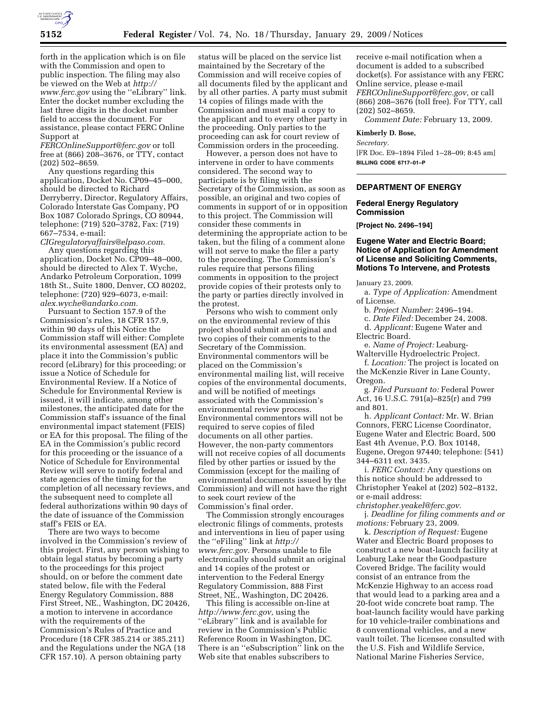

forth in the application which is on file with the Commission and open to public inspection. The filing may also be viewed on the Web at *http:// www.ferc.gov* using the ''eLibrary'' link. Enter the docket number excluding the last three digits in the docket number field to access the document. For assistance, please contact FERC Online Support at

*FERCOnlineSupport@ferc.gov* or toll free at (866) 208–3676, or TTY, contact (202) 502–8659.

Any questions regarding this application, Docket No. CP09–45–000, should be directed to Richard Derryberry, Director, Regulatory Affairs, Colorado Interstate Gas Company, PO Box 1087 Colorado Springs, CO 80944, telephone: (719) 520–3782, Fax: (719) 667–7534, e-mail:

*CIGregulatoryaffairs@elpaso.com.*  Any questions regarding this application, Docket No. CP09–48–000, should be directed to Alex T. Wyche, Andarko Petroleum Corporation, 1099 18th St., Suite 1800, Denver, CO 80202, telephone: (720) 929–6073, e-mail: *alex.wyche@andarko.com.* 

Pursuant to Section 157.9 of the Commission's rules, 18 CFR 157.9, within 90 days of this Notice the Commission staff will either: Complete its environmental assessment (EA) and place it into the Commission's public record (eLibrary) for this proceeding; or issue a Notice of Schedule for Environmental Review. If a Notice of Schedule for Environmental Review is issued, it will indicate, among other milestones, the anticipated date for the Commission staff's issuance of the final environmental impact statement (FEIS) or EA for this proposal. The filing of the EA in the Commission's public record for this proceeding or the issuance of a Notice of Schedule for Environmental Review will serve to notify federal and state agencies of the timing for the completion of all necessary reviews, and the subsequent need to complete all federal authorizations within 90 days of the date of issuance of the Commission staff's FEIS or EA.

There are two ways to become involved in the Commission's review of this project. First, any person wishing to obtain legal status by becoming a party to the proceedings for this project should, on or before the comment date stated below, file with the Federal Energy Regulatory Commission, 888 First Street, NE., Washington, DC 20426, a motion to intervene in accordance with the requirements of the Commission's Rules of Practice and Procedure (18 CFR 385.214 or 385.211) and the Regulations under the NGA (18 CFR 157.10). A person obtaining party

status will be placed on the service list maintained by the Secretary of the Commission and will receive copies of all documents filed by the applicant and by all other parties. A party must submit 14 copies of filings made with the Commission and must mail a copy to the applicant and to every other party in the proceeding. Only parties to the proceeding can ask for court review of Commission orders in the proceeding.

However, a person does not have to intervene in order to have comments considered. The second way to participate is by filing with the Secretary of the Commission, as soon as possible, an original and two copies of comments in support of or in opposition to this project. The Commission will consider these comments in determining the appropriate action to be taken, but the filing of a comment alone will not serve to make the filer a party to the proceeding. The Commission's rules require that persons filing comments in opposition to the project provide copies of their protests only to the party or parties directly involved in the protest.

Persons who wish to comment only on the environmental review of this project should submit an original and two copies of their comments to the Secretary of the Commission. Environmental commentors will be placed on the Commission's environmental mailing list, will receive copies of the environmental documents, and will be notified of meetings associated with the Commission's environmental review process. Environmental commentors will not be required to serve copies of filed documents on all other parties. However, the non-party commentors will not receive copies of all documents filed by other parties or issued by the Commission (except for the mailing of environmental documents issued by the Commission) and will not have the right to seek court review of the Commission's final order.

The Commission strongly encourages electronic filings of comments, protests and interventions in lieu of paper using the ''eFiling'' link at *http:// www.ferc.gov.* Persons unable to file electronically should submit an original and 14 copies of the protest or intervention to the Federal Energy Regulatory Commission, 888 First Street, NE., Washington, DC 20426.

This filing is accessible on-line at *http://www.ferc.gov,* using the ''eLibrary'' link and is available for review in the Commission's Public Reference Room in Washington, DC. There is an ''eSubscription'' link on the Web site that enables subscribers to

receive e-mail notification when a document is added to a subscribed docket(s). For assistance with any FERC Online service, please e-mail *FERCOnlineSupport@ferc.gov,* or call (866) 208–3676 (toll free). For TTY, call (202) 502–8659.

*Comment Date:* February 13, 2009.

#### **Kimberly D. Bose,**

*Secretary.* 

[FR Doc. E9–1894 Filed 1–28–09; 8:45 am] **BILLING CODE 6717–01–P** 

# **DEPARTMENT OF ENERGY**

#### **Federal Energy Regulatory Commission**

**[Project No. 2496–194]** 

### **Eugene Water and Electric Board; Notice of Application for Amendment of License and Soliciting Comments, Motions To Intervene, and Protests**

January 23, 2009.

a. *Type of Application:* Amendment of License.

b. *Project Number:* 2496–194.

c. *Date Filed:* December 24, 2008.

d. *Applicant:* Eugene Water and Electric Board.

e. *Name of Project:* Leaburg-Walterville Hydroelectric Project.

f. *Location:* The project is located on the McKenzie River in Lane County, Oregon.

g. *Filed Pursuant to:* Federal Power Act, 16 U.S.C. 791(a)–825(r) and 799 and 801.

h. *Applicant Contact:* Mr. W. Brian Connors, FERC License Coordinator, Eugene Water and Electric Board, 500 East 4th Avenue, P.O. Box 10148, Eugene, Oregon 97440; telephone: (541) 344–6311 ext. 3435.

i. *FERC Contact:* Any questions on this notice should be addressed to Christopher Yeakel at (202) 502–8132, or e-mail address:

*christopher.yeakel@ferc.gov.* 

j. *Deadline for filing comments and or motions:* February 23, 2009.

k. *Description of Request:* Eugene Water and Electric Board proposes to construct a new boat-launch facility at Leaburg Lake near the Goodpasture Covered Bridge. The facility would consist of an entrance from the McKenzie Highway to an access road that would lead to a parking area and a 20-foot wide concrete boat ramp. The boat-launch facility would have parking for 10 vehicle-trailer combinations and 8 conventional vehicles, and a new vault toilet. The licensee consulted with the U.S. Fish and Wildlife Service, National Marine Fisheries Service,